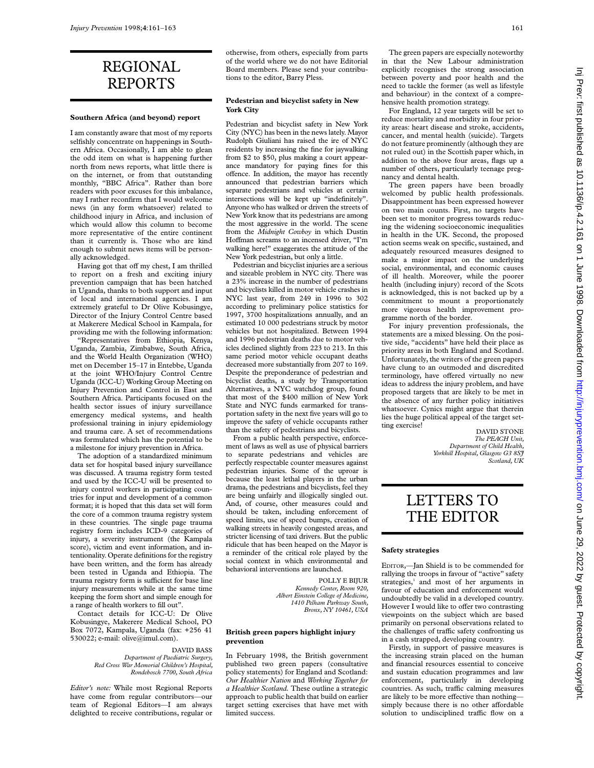# REGIONAL REPORTS

#### **Southern Africa (and beyond) report**

I am constantly aware that most of my reports selfishly concentrate on happenings in Southern Africa. Occasionally, I am able to glean the odd item on what is happening further north from news reports, what little there is on the internet, or from that outstanding monthly, "BBC Africa". Rather than bore readers with poor excuses for this imbalance, may I rather reconfirm that I would welcome news (in any form whatsoever) related to childhood injury in Africa, and inclusion of which would allow this column to become more representative of the entire continent than it currently is. Those who are kind enough to submit news items will be personally acknowledged.

Having got that off my chest, I am thrilled to report on a fresh and exciting injury prevention campaign that has been hatched in Uganda, thanks to both support and input of local and international agencies. I am extremely grateful to Dr Olive Kobusingye, Director of the Injury Control Centre based at Makerere Medical School in Kampala, for providing me with the following information:

"Representatives from Ethiopia, Kenya, Uganda, Zambia, Zimbabwe, South Africa, and the World Health Organization (WHO) met on December 15–17 in Entebbe, Uganda at the joint WHO/Injury Control Centre Uganda (ICC-U) Working Group Meeting on Injury Prevention and Control in East and Southern Africa. Participants focused on the health sector issues of injury surveillance emergency medical systems, and health professional training in injury epidemiology and trauma care. A set of recommendations was formulated which has the potential to be a milestone for injury prevention in Africa.

The adoption of a standardized minimum data set for hospital based injury surveillance was discussed. A trauma registry form tested and used by the ICC-U will be presented to injury control workers in participating countries for input and development of a common format; it is hoped that this data set will form the core of a common trauma registry system in these countries. The single page trauma registry form includes ICD-9 categories of injury, a severity instrument (the Kampala score), victim and event information, and intentionality. Operate definitions for the registry have been written, and the form has already been tested in Uganda and Ethiopia. The trauma registry form is sufficient for base line injury measurements while at the same time keeping the form short and simple enough for a range of health workers to fill out".

Contact details for ICC-U: Dr Olive Kobusingye, Makerere Medical School, PO Box 7072, Kampala, Uganda (fax: +256 41 530022; e-mail: olive@imul.com).

#### DAVID BASS *Department of Paediatric Surgery, Red Cross War Memorial Children's Hospital,*

*Rondebosch 7700, South Africa Editor's note:* While most Regional Reports

have come from regular contributors—our team of Regional Editors—I am always delighted to receive contributions, regular or otherwise, from others, especially from parts of the world where we do not have Editorial Board members. Please send your contributions to the editor, Barry Pless.

### **Pedestrian and bicyclist safety in New York City**

Pedestrian and bicyclist safety in New York City (NYC) has been in the news lately.Mayor Rudolph Giuliani has raised the ire of NYC residents by increasing the fine for jaywalking from \$2 to \$50, plus making a court appearance mandatory for paying fines for this offence. In addition, the mayor has recently announced that pedestrian barriers which separate pedestrians and vehicles at certain intersections will be kept up "indefinitely". Anyone who has walked or driven the streets of New York know that its pedestrians are among the most aggressive in the world. The scene from the *Midnight Cowboy* in which Dustin Hoffman screams to an incensed driver, "I'm walking here!" exaggerates the attitude of the New York pedestrian, but only a little.

Pedestrian and bicyclist injuries are a serious and sizeable problem in NYC city. There was a 23% increase in the number of pedestrians and bicyclists killed in motor vehicle crashes in NYC last year, from 249 in 1996 to 302 according to preliminary police statistics for 1997, 3700 hospitalizations annually, and an estimated 10 000 pedestrians struck by motor vehicles but not hospitalized. Between 1994 and 1996 pedestrian deaths due to motor vehicles declined slightly from 223 to 213. In this same period motor vehicle occupant deaths decreased more substantially from 207 to 169. Despite the preponderance of pedestrian and bicyclist deaths, a study by Transportation Alternatives, a NYC watchdog group, found that most of the \$400 million of New York State and NYC funds earmarked for transportation safety in the next five years will go to improve the safety of vehicle occupants rather than the safety of pedestrians and bicyclists.

From a public health perspective, enforcement of laws as well as use of physical barriers to separate pedestrians and vehicles are perfectly respectable counter measures against pedestrian injuries. Some of the uproar is because the least lethal players in the urban drama, the pedestrians and bicyclists, feel they are being unfairly and illogically singled out. And, of course, other measures could and should be taken, including enforcement of speed limits, use of speed bumps, creation of walking streets in heavily congested areas, and stricter licensing of taxi drivers. But the public ridicule that has been heaped on the Mayor is a reminder of the critical role played by the social context in which environmental and behavioral interventions are launched.

> POLLY E BIJUR *Kennedy Center, Room 920, Albert Einstein College of Medicine, 1410 Pelham Parkway South, Bronx, NY 10461, USA*

#### **British green papers highlight injury prevention**

In February 1998, the British government published two green papers (consultative policy statements) for England and Scotland: *Our Healthier Nation* and *Working Together for a Healthier Scotland.* These outline a strategic approach to public health that build on earlier target setting exercises that have met with limited success.

The green papers are especially noteworthy in that the New Labour administration explicitly recognises the strong association between poverty and poor health and the need to tackle the former (as well as lifestyle and behaviour) in the context of a comprehensive health promotion strategy.

For England, 12 year targets will be set to reduce mortality and morbidity in four priority areas: heart disease and stroke, accidents, cancer, and mental health (suicide). Targets do not feature prominently (although they are not ruled out) in the Scottish paper which, in addition to the above four areas, flags up a number of others, particularly teenage pregnancy and dental health.

The green papers have been broadly welcomed by public health professionals. Disappointment has been expressed however on two main counts. First, no targets have been set to monitor progress towards reducing the widening socioeconomic inequalities in health in the UK. Second, the proposed action seems weak on specific, sustained, and adequately resourced measures designed to make a major impact on the underlying social, environmental, and economic causes of ill health. Moreover, while the poorer health (including injury) record of the Scots is acknowledged, this is not backed up by a commitment to mount a proportionately more vigorous health improvement programme north of the border.

For injury prevention professionals, the statements are a mixed blessing. On the positive side, "accidents" have held their place as priority areas in both England and Scotland. Unfortunately, the writers of the green papers have clung to an outmoded and discredited terminology, have offered virtually no new ideas to address the injury problem, and have proposed targets that are likely to be met in the absence of any further policy initiatives whatsoever. Cynics might argue that therein lies the huge political appeal of the target setting exercise!

DAVID STONE *The PEACH Unit, Department of Child Health, Yorkhill Hospital, Glasgow G3 8SJ Scotland, UK*

# LETTERS TO THE EDITOR

#### **Safety strategies**

EDITOR,—Jan Shield is to be commended for rallying the troops in favour of "active" safety strategies,<sup>1</sup> and most of her arguments in favour of education and enforcement would undoubtedly be valid in a developed country. However I would like to offer two contrasting viewpoints on the subject which are based primarily on personal observations related to the challenges of traffic safety confronting us in a cash strapped, developing country.

Firstly, in support of passive measures is the increasing strain placed on the human and financial resources essential to conceive and sustain education programmes and law enforcement, particularly in developing countries. As such, traffic calming measures are likely to be more effective than nothing simply because there is no other affordable solution to undisciplined traffic flow on a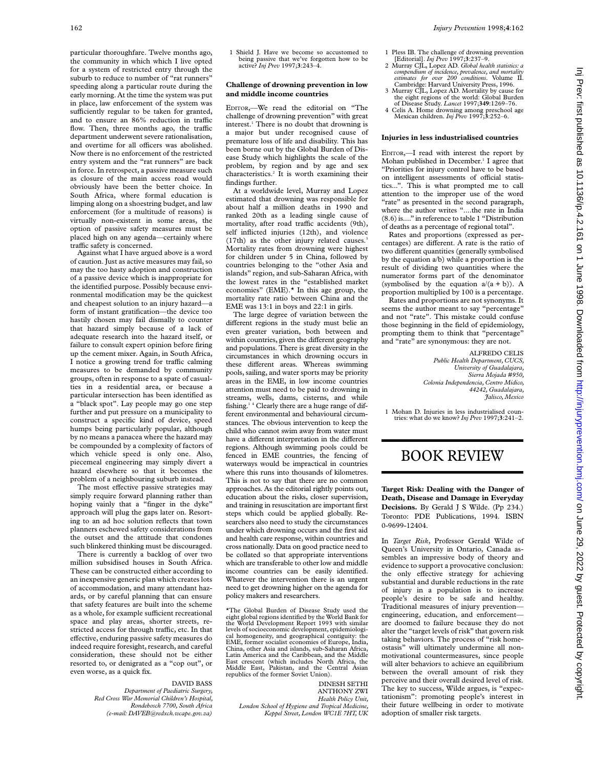particular thoroughfare. Twelve months ago, the community in which which I live opted for a system of restricted entry through the suburb to reduce to number of "rat runners" speeding along a particular route during the early morning. At the time the system was put in place, law enforcement of the system was sufficiently regular to be taken for granted, and to ensure an  $86\%$  reduction in traffic flow. Then, three months ago, the traffic department underwent severe rationalisation, and overtime for all officers was abolished. Now there is no enforcement of the restricted entry system and the "rat runners" are back in force. In retrospect, a passive measure such as closure of the main access road would obviously have been the better choice. In South Africa, where formal education is limping along on a shoestring budget, and law enforcement (for a multitude of reasons) is virtually non-existent in some areas, the option of passive safety measures must be placed high on any agenda—certainly where traffic safety is concerned.

Against what I have argued above is a word of caution. Just as active measures may fail, so may the too hasty adoption and construction of a passive device which is inappropriate for the identified purpose. Possibly because environmental modification may be the quickest and cheapest solution to an injury hazard—a form of instant gratification—the device too hastily chosen may fail dismally to counter that hazard simply because of a lack of adequate research into the hazard itself, or failure to consult expert opinion before firing up the cement mixer. Again, in South Africa, I notice a growing trend for traffic calming measures to be demanded by community groups, often in response to a spate of casualties in a residential area, or because a particular intersection has been identified as a "black spot". Lay people may go one step further and put pressure on a municipality to construct a specific kind of device, speed humps being particularly popular, although by no means a panacea where the hazard may be compounded by a complexity of factors of which vehicle speed is only one. Also, piecemeal engineering may simply divert a hazard elsewhere so that it becomes the problem of a neighbouring suburb instead.

The most effective passive strategies may simply require forward planning rather than hoping vainly that a "finger in the dyke" approach will plug the gaps later on. Resorting to an ad hoc solution reflects that town planners eschewed safety considerations from the outset and the attitude that condones such blinkered thinking must be discouraged.

There is currently a backlog of over two million subsidised houses in South Africa. These can be constructed either according to an inexpensive generic plan which creates lots of accommodation, and many attendant hazards, or by careful planning that can ensure that safety features are built into the scheme as a whole, for example sufficient recreational space and play areas, shorter streets, restricted access for through traffic, etc. In that effective, enduring passive safety measures do indeed require foresight, research, and careful consideration, these should not be either resorted to, or denigrated as a "cop out", or even worse, as a quick fix.

#### DAVID BASS

*Department of Paediatric Surgery, Red Cross War Memorial Children's Hospital, Rondebosch 7700, South Africa (e-mail: DAVEB@redxch.wcape.gov.za)*

1. Shield J. Have we become so accustomed to being passive that we've forgotten how to be active? *Inj Prev* 1997;**3**:243–4.

### **Challenge of drowning prevention in low and middle income countries**

EDITOR,—We read the editorial on "The challenge of drowning prevention" with great interest.<sup>1</sup> There is no doubt that drowning is a major but under recognised cause of premature loss of life and disability. This has been borne out by the Global Burden of Disease Study which highlights the scale of the problem, by region and by age and sex characteristics.2 It is worth examining their findings further.

At a worldwide level, Murray and Lopez estimated that drowning was responsible for about half a million deaths in 1990 and ranked 20th as a leading single cause of mortality, after road traffic accidents (9th), self inflicted injuries (12th), and violence (17th) as the other injury related causes.<sup>3</sup> Mortality rates from drowning were highest for children under 5 in China, followed by countries belonging to the "other Asia and islands" region, and sub-Saharan Africa, with the lowest rates in the "established market economies" (EME).\* In this age group, the mortality rate ratio between China and the EME was 13:1 in boys and 22:1 in girls.

The large degree of variation between the different regions in the study must belie an even greater variation, both between and within countries, given the different geography and populations. There is great diversity in the circumstances in which drowning occurs in these different areas. Whereas swimming pools, sailing, and water sports may be priority areas in the EME, in low income countries attention must need to be paid to drowning in streams, wells, dams, cisterns, and while fishing.1 4 Clearly there are a huge range of different environmental and behavioural circumstances. The obvious intervention to keep the child who cannot swim away from water must have a different interpretation in the different regions. Although swimming pools could be fenced in EME countries, the fencing of waterways would be impractical in countries where this runs into thousands of kilometres. This is not to say that there are no common approaches. As the editorial rightly points out, education about the risks, closer supervision, and training in resuscitation are important first steps which could be applied globally. Researchers also need to study the circumstances under which drowning occurs and the first aid and health care response, within countries and cross nationally. Data on good practice need to be collated so that appropriate interventions which are transferable to other low and middle income countries can be easily identified. Whatever the intervention there is an urgent need to get drowning higher on the agenda for policy makers and researchers.

\*The Global Burden of Disease Study used the eight global regions identified by the World Bank for the World Development Report 1993 with similar levels of socioeconomic development, epidemiological homogeneity, and geographical contiguity: the EME, former socialist economies of Europe, India, China, other Asia and islands, sub-Saharan Africa, Latin America and the Caribbean, and the Middle East crescent (which includes North Africa, the Middle East, Pakistan, and the Central Asian republics of the former Soviet Union).

DINESH SETHI ANTHONY ZWI *Health Policy Unit, London School of Hygiene and Tropical Medicine, Keppel Street, London WC1E 7HT, UK*

- 1 Pless IB. The challenge of drowning prevention [Editorial]. *Inj Prev* 1997;**3**:237–9.
- 2 Murray CJL, Lopez AD. *Global health statistics: a compendium of incidence, prevalence, and mortality estimates for over 200 conditions*. Volume II. Cambridge: Harvard University Press, 1996.
- 3 Murray CJL, Lopez AD. Mortality by cause for the eight regions of the world: Global Burden of Disease Study. *Lancet* 1997;**349**:1269–76.
- 4 Celis A. Home drowning among preschool age Mexican children. *Inj Prev* 1997;**3**:252–6.

#### **Injuries in less industrialised countries**

EDITOR,—I read with interest the report by Mohan published in December.<sup>1</sup> I agree that "Priorities for injury control have to be based on intelligent assessments of official statistics...". This is what prompted me to call attention to the improper use of the word "rate" as presented in the second paragraph, where the author writes "....the rate in India (8.6) is...." in reference to table 1 "Distribution of deaths as a percentage of regional total".

Rates and proportions (expressed as percentages) are different. A rate is the ratio of two different quantities (generally symbolised by the equation a/b) while a proportion is the result of dividing two quantities where the numerator forms part of the denominator (symbolised by the equation  $a/(a + b)$ ). A proportion multiplied by 100 is a percentage.

Rates and proportions are not synonyms. It seems the author meant to say "percentage" and not "rate". This mistake could confuse those beginning in the field of epidemiology, prompting them to think that "percentage" and "rate" are synonymous: they are not.

> ALFREDO CELIS *Public Health Department, CUCS, University of Guadalajara, Sierra Mojada #950, Colonia Independencia, Centro Midico, 44242, Guadalajara, Jalisco, Mexico*

1 Mohan D. Injuries in less industrialised countries: what do we know? *Inj Prev* 1997;**3**:241–2.

## BOOK REVIEW

**Target Risk: Dealing with the Danger of Death, Disease and Damage in Everyday Decisions.** By Gerald J S Wilde. (Pp 234.) Toronto: PDE Publications, 1994. ISBN 0-9699-12404.

In *Target Risk*, Professor Gerald Wilde of Queen's University in Ontario, Canada assembles an impressive body of theory and evidence to support a provocative conclusion: the only effective strategy for achieving substantial and durable reductions in the rate of injury in a population is to increase people's desire to be safe and healthy. Traditional measures of injury prevention engineering, education, and enforcement are doomed to failure because they do not alter the "target levels of risk" that govern risk taking behaviors. The process of "risk homeostasis" will ultimately undermine all nonmotivational countermeasures, since people will alter behaviors to achieve an equilibrium between the overall amount of risk they perceive and their overall desired level of risk. The key to success, Wilde argues, is "expectationism": promoting people's interest in their future wellbeing in order to motivate adoption of smaller risk targets.